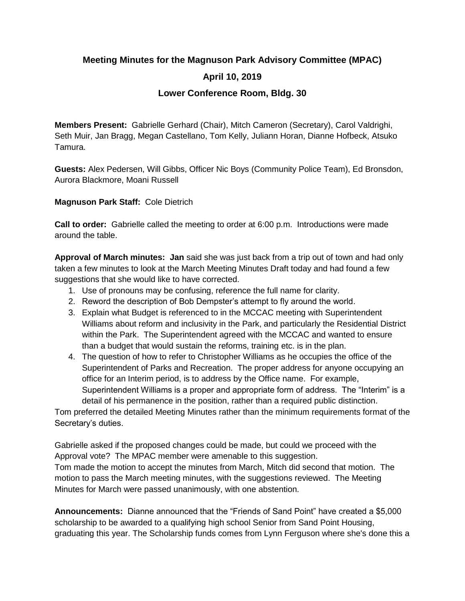## **Meeting Minutes for the Magnuson Park Advisory Committee (MPAC) April 10, 2019 Lower Conference Room, Bldg. 30**

**Members Present:** Gabrielle Gerhard (Chair), Mitch Cameron (Secretary), Carol Valdrighi, Seth Muir, Jan Bragg, Megan Castellano, Tom Kelly, Juliann Horan, Dianne Hofbeck, Atsuko Tamura.

**Guests:** Alex Pedersen, Will Gibbs, Officer Nic Boys (Community Police Team), Ed Bronsdon, Aurora Blackmore, Moani Russell

**Magnuson Park Staff:** Cole Dietrich

**Call to order:** Gabrielle called the meeting to order at 6:00 p.m. Introductions were made around the table.

**Approval of March minutes: Jan** said she was just back from a trip out of town and had only taken a few minutes to look at the March Meeting Minutes Draft today and had found a few suggestions that she would like to have corrected.

- 1. Use of pronouns may be confusing, reference the full name for clarity.
- 2. Reword the description of Bob Dempster's attempt to fly around the world.
- 3. Explain what Budget is referenced to in the MCCAC meeting with Superintendent Williams about reform and inclusivity in the Park, and particularly the Residential District within the Park. The Superintendent agreed with the MCCAC and wanted to ensure than a budget that would sustain the reforms, training etc. is in the plan.
- 4. The question of how to refer to Christopher Williams as he occupies the office of the Superintendent of Parks and Recreation. The proper address for anyone occupying an office for an Interim period, is to address by the Office name. For example, Superintendent Williams is a proper and appropriate form of address. The "Interim" is a detail of his permanence in the position, rather than a required public distinction.

Tom preferred the detailed Meeting Minutes rather than the minimum requirements format of the Secretary's duties.

Gabrielle asked if the proposed changes could be made, but could we proceed with the Approval vote? The MPAC member were amenable to this suggestion. Tom made the motion to accept the minutes from March, Mitch did second that motion. The motion to pass the March meeting minutes, with the suggestions reviewed. The Meeting Minutes for March were passed unanimously, with one abstention.

**Announcements:** Dianne announced that the "Friends of Sand Point" have created a \$5,000 scholarship to be awarded to a qualifying high school Senior from Sand Point Housing, graduating this year. The Scholarship funds comes from Lynn Ferguson where she's done this a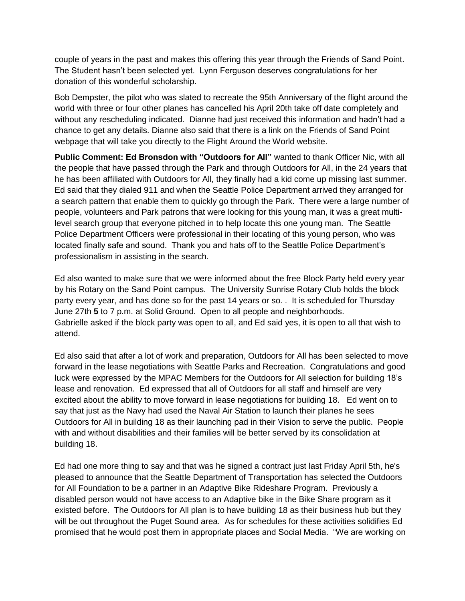couple of years in the past and makes this offering this year through the Friends of Sand Point. The Student hasn't been selected yet. Lynn Ferguson deserves congratulations for her donation of this wonderful scholarship.

Bob Dempster, the pilot who was slated to recreate the 95th Anniversary of the flight around the world with three or four other planes has cancelled his April 20th take off date completely and without any rescheduling indicated. Dianne had just received this information and hadn't had a chance to get any details. Dianne also said that there is a link on the Friends of Sand Point webpage that will take you directly to the Flight Around the World website.

**Public Comment: Ed Bronsdon with "Outdoors for All"** wanted to thank Officer Nic, with all the people that have passed through the Park and through Outdoors for All, in the 24 years that he has been affiliated with Outdoors for All, they finally had a kid come up missing last summer. Ed said that they dialed 911 and when the Seattle Police Department arrived they arranged for a search pattern that enable them to quickly go through the Park. There were a large number of people, volunteers and Park patrons that were looking for this young man, it was a great multilevel search group that everyone pitched in to help locate this one young man. The Seattle Police Department Officers were professional in their locating of this young person, who was located finally safe and sound. Thank you and hats off to the Seattle Police Department's professionalism in assisting in the search.

Ed also wanted to make sure that we were informed about the free Block Party held every year by his Rotary on the Sand Point campus. The University Sunrise Rotary Club holds the block party every year, and has done so for the past 14 years or so. . It is scheduled for Thursday June 27th **5** to 7 p.m. at Solid Ground. Open to all people and neighborhoods. Gabrielle asked if the block party was open to all, and Ed said yes, it is open to all that wish to attend.

Ed also said that after a lot of work and preparation, Outdoors for All has been selected to move forward in the lease negotiations with Seattle Parks and Recreation. Congratulations and good luck were expressed by the MPAC Members for the Outdoors for All selection for building 18's lease and renovation. Ed expressed that all of Outdoors for all staff and himself are very excited about the ability to move forward in lease negotiations for building 18. Ed went on to say that just as the Navy had used the Naval Air Station to launch their planes he sees Outdoors for All in building 18 as their launching pad in their Vision to serve the public. People with and without disabilities and their families will be better served by its consolidation at building 18.

Ed had one more thing to say and that was he signed a contract just last Friday April 5th, he's pleased to announce that the Seattle Department of Transportation has selected the Outdoors for All Foundation to be a partner in an Adaptive Bike Rideshare Program. Previously a disabled person would not have access to an Adaptive bike in the Bike Share program as it existed before. The Outdoors for All plan is to have building 18 as their business hub but they will be out throughout the Puget Sound area. As for schedules for these activities solidifies Ed promised that he would post them in appropriate places and Social Media. "We are working on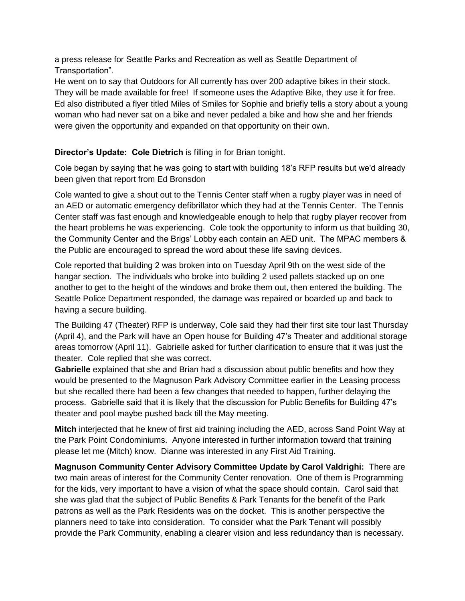a press release for Seattle Parks and Recreation as well as Seattle Department of Transportation".

He went on to say that Outdoors for All currently has over 200 adaptive bikes in their stock. They will be made available for free! If someone uses the Adaptive Bike, they use it for free. Ed also distributed a flyer titled Miles of Smiles for Sophie and briefly tells a story about a young woman who had never sat on a bike and never pedaled a bike and how she and her friends were given the opportunity and expanded on that opportunity on their own.

## **Director's Update: Cole Dietrich** is filling in for Brian tonight.

Cole began by saying that he was going to start with building 18's RFP results but we'd already been given that report from Ed Bronsdon

Cole wanted to give a shout out to the Tennis Center staff when a rugby player was in need of an AED or automatic emergency defibrillator which they had at the Tennis Center. The Tennis Center staff was fast enough and knowledgeable enough to help that rugby player recover from the heart problems he was experiencing. Cole took the opportunity to inform us that building 30, the Community Center and the Brigs' Lobby each contain an AED unit. The MPAC members & the Public are encouraged to spread the word about these life saving devices.

Cole reported that building 2 was broken into on Tuesday April 9th on the west side of the hangar section. The individuals who broke into building 2 used pallets stacked up on one another to get to the height of the windows and broke them out, then entered the building. The Seattle Police Department responded, the damage was repaired or boarded up and back to having a secure building.

The Building 47 (Theater) RFP is underway, Cole said they had their first site tour last Thursday (April 4), and the Park will have an Open house for Building 47's Theater and additional storage areas tomorrow (April 11). Gabrielle asked for further clarification to ensure that it was just the theater. Cole replied that she was correct.

**Gabrielle** explained that she and Brian had a discussion about public benefits and how they would be presented to the Magnuson Park Advisory Committee earlier in the Leasing process but she recalled there had been a few changes that needed to happen, further delaying the process. Gabrielle said that it is likely that the discussion for Public Benefits for Building 47's theater and pool maybe pushed back till the May meeting.

**Mitch** interjected that he knew of first aid training including the AED, across Sand Point Way at the Park Point Condominiums. Anyone interested in further information toward that training please let me (Mitch) know. Dianne was interested in any First Aid Training.

**Magnuson Community Center Advisory Committee Update by Carol Valdrighi:** There are two main areas of interest for the Community Center renovation. One of them is Programming for the kids, very important to have a vision of what the space should contain. Carol said that she was glad that the subject of Public Benefits & Park Tenants for the benefit of the Park patrons as well as the Park Residents was on the docket. This is another perspective the planners need to take into consideration. To consider what the Park Tenant will possibly provide the Park Community, enabling a clearer vision and less redundancy than is necessary.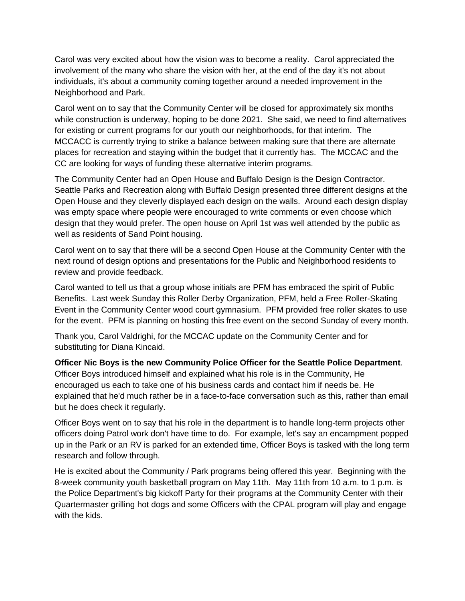Carol was very excited about how the vision was to become a reality. Carol appreciated the involvement of the many who share the vision with her, at the end of the day it's not about individuals, it's about a community coming together around a needed improvement in the Neighborhood and Park.

Carol went on to say that the Community Center will be closed for approximately six months while construction is underway, hoping to be done 2021. She said, we need to find alternatives for existing or current programs for our youth our neighborhoods, for that interim. The MCCACC is currently trying to strike a balance between making sure that there are alternate places for recreation and staying within the budget that it currently has. The MCCAC and the CC are looking for ways of funding these alternative interim programs.

The Community Center had an Open House and Buffalo Design is the Design Contractor. Seattle Parks and Recreation along with Buffalo Design presented three different designs at the Open House and they cleverly displayed each design on the walls. Around each design display was empty space where people were encouraged to write comments or even choose which design that they would prefer. The open house on April 1st was well attended by the public as well as residents of Sand Point housing.

Carol went on to say that there will be a second Open House at the Community Center with the next round of design options and presentations for the Public and Neighborhood residents to review and provide feedback.

Carol wanted to tell us that a group whose initials are PFM has embraced the spirit of Public Benefits. Last week Sunday this Roller Derby Organization, PFM, held a Free Roller-Skating Event in the Community Center wood court gymnasium. PFM provided free roller skates to use for the event. PFM is planning on hosting this free event on the second Sunday of every month.

Thank you, Carol Valdrighi, for the MCCAC update on the Community Center and for substituting for Diana Kincaid.

**Officer Nic Boys is the new Community Police Officer for the Seattle Police Department**. Officer Boys introduced himself and explained what his role is in the Community, He encouraged us each to take one of his business cards and contact him if needs be. He explained that he'd much rather be in a face-to-face conversation such as this, rather than email but he does check it regularly.

Officer Boys went on to say that his role in the department is to handle long-term projects other officers doing Patrol work don't have time to do. For example, let's say an encampment popped up in the Park or an RV is parked for an extended time, Officer Boys is tasked with the long term research and follow through.

He is excited about the Community / Park programs being offered this year. Beginning with the 8-week community youth basketball program on May 11th. May 11th from 10 a.m. to 1 p.m. is the Police Department's big kickoff Party for their programs at the Community Center with their Quartermaster grilling hot dogs and some Officers with the CPAL program will play and engage with the kids.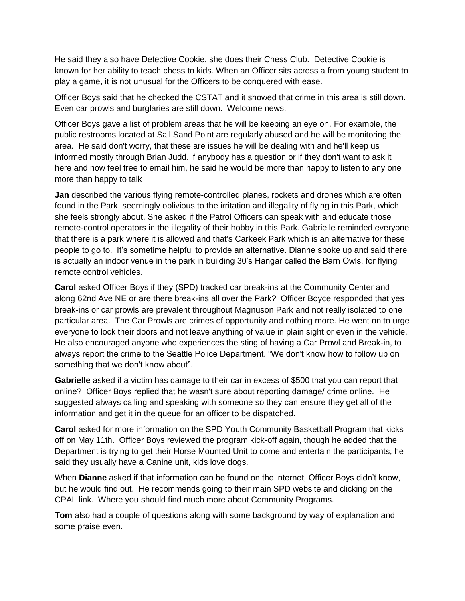He said they also have Detective Cookie, she does their Chess Club. Detective Cookie is known for her ability to teach chess to kids. When an Officer sits across a from young student to play a game, it is not unusual for the Officers to be conquered with ease.

Officer Boys said that he checked the CSTAT and it showed that crime in this area is still down. Even car prowls and burglaries are still down. Welcome news.

Officer Boys gave a list of problem areas that he will be keeping an eye on. For example, the public restrooms located at Sail Sand Point are regularly abused and he will be monitoring the area. He said don't worry, that these are issues he will be dealing with and he'll keep us informed mostly through Brian Judd. if anybody has a question or if they don't want to ask it here and now feel free to email him, he said he would be more than happy to listen to any one more than happy to talk

**Jan** described the various flying remote-controlled planes, rockets and drones which are often found in the Park, seemingly oblivious to the irritation and illegality of flying in this Park, which she feels strongly about. She asked if the Patrol Officers can speak with and educate those remote-control operators in the illegality of their hobby in this Park. Gabrielle reminded everyone that there is a park where it is allowed and that's Carkeek Park which is an alternative for these people to go to. It's sometime helpful to provide an alternative. Dianne spoke up and said there is actually an indoor venue in the park in building 30's Hangar called the Barn Owls, for flying remote control vehicles.

**Carol** asked Officer Boys if they (SPD) tracked car break-ins at the Community Center and along 62nd Ave NE or are there break-ins all over the Park? Officer Boyce responded that yes break-ins or car prowls are prevalent throughout Magnuson Park and not really isolated to one particular area. The Car Prowls are crimes of opportunity and nothing more. He went on to urge everyone to lock their doors and not leave anything of value in plain sight or even in the vehicle. He also encouraged anyone who experiences the sting of having a Car Prowl and Break-in, to always report the crime to the Seattle Police Department. "We don't know how to follow up on something that we don't know about".

**Gabrielle** asked if a victim has damage to their car in excess of \$500 that you can report that online? Officer Boys replied that he wasn't sure about reporting damage/ crime online. He suggested always calling and speaking with someone so they can ensure they get all of the information and get it in the queue for an officer to be dispatched.

**Carol** asked for more information on the SPD Youth Community Basketball Program that kicks off on May 11th. Officer Boys reviewed the program kick-off again, though he added that the Department is trying to get their Horse Mounted Unit to come and entertain the participants, he said they usually have a Canine unit, kids love dogs.

When **Dianne** asked if that information can be found on the internet, Officer Boys didn't know, but he would find out. He recommends going to their main SPD website and clicking on the CPAL link. Where you should find much more about Community Programs.

**Tom** also had a couple of questions along with some background by way of explanation and some praise even.